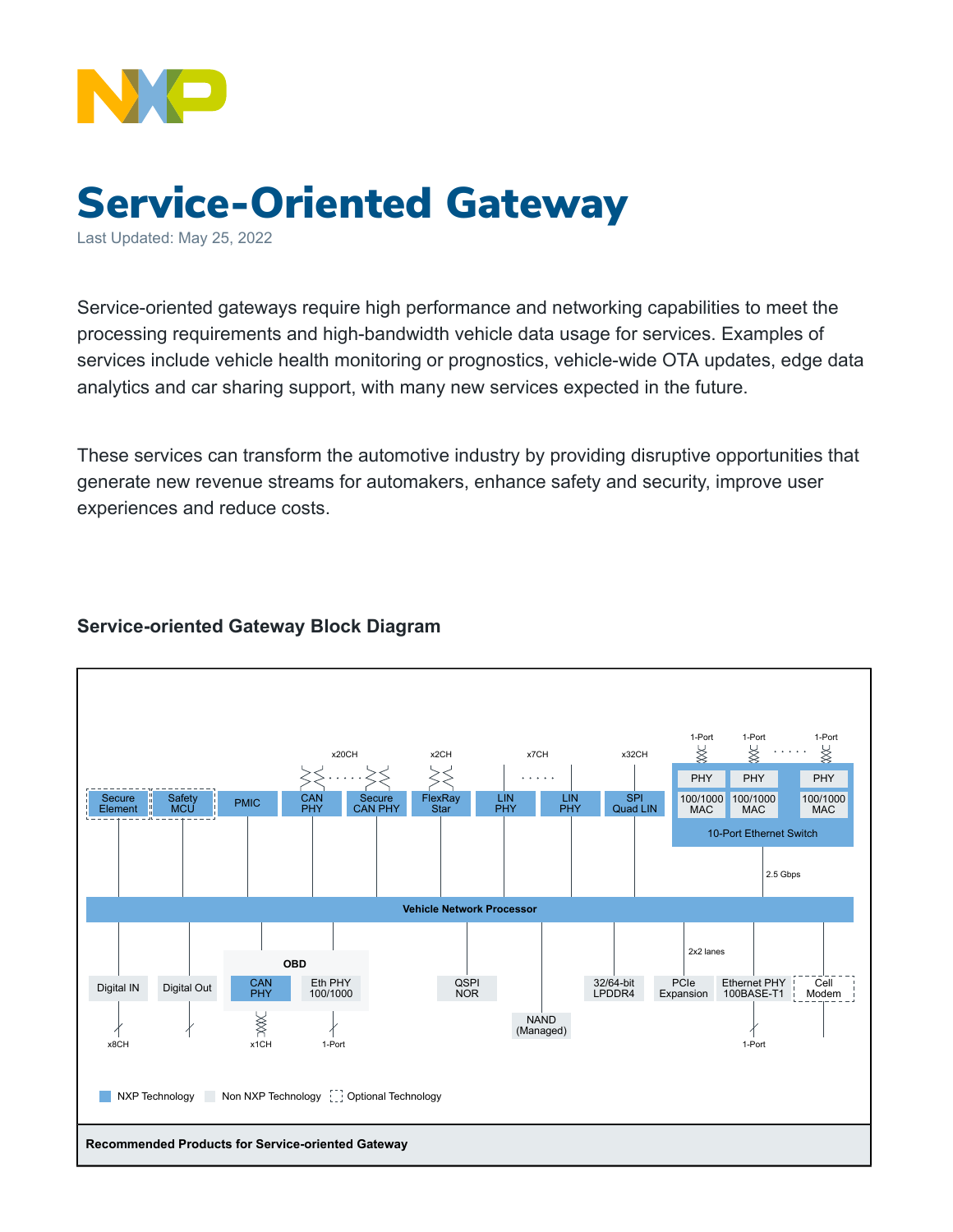

## Service-Oriented Gateway

Last Updated: May 25, 2022

Service-oriented gateways require high performance and networking capabilities to meet the processing requirements and high-bandwidth vehicle data usage for services. Examples of services include vehicle health monitoring or prognostics, vehicle-wide OTA updates, edge data analytics and car sharing support, with many new services expected in the future.

These services can transform the automotive industry by providing disruptive opportunities that generate new revenue streams for automakers, enhance safety and security, improve user experiences and reduce costs.

## **Service-oriented Gateway Block Diagram**